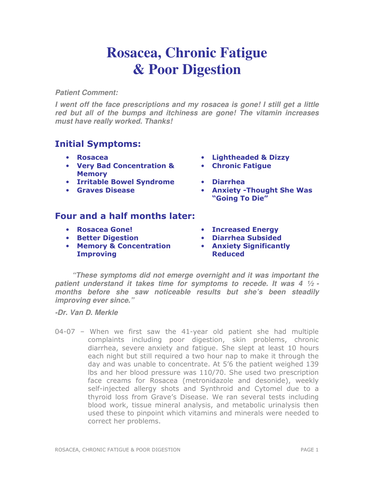## **Rosacea, Chronic Fatigue & Poor Digestion**

## **Patient Comment:**

**I went off the face prescriptions and my rosacea is gone! I still get a little red but all of the bumps and itchiness are gone! The vitamin increases must have really worked. Thanks!** 

## Initial Symptoms:

- 
- Very Bad Concentration & **Memory**
- Irritable Bowel Syndrome Diarrhea
- 
- Rosacea Lightheaded & Dizzy
	- Chronic Fatigue
	-
- Graves Disease Anxiety -Thought She Was "Going To Die"

## Four and a half months later:

- 
- 
- Memory & Concentration **Improving**
- Rosacea Gone! Increased Energy
- Better Digestion Diarrhea Subsided
	- Anxiety Significantly Reduced

**"These symptoms did not emerge overnight and it was important the patient understand it takes time for symptoms to recede. It was 4 ½ months before she saw noticeable results but she's been steadily improving ever since."** 

**-Dr. Van D. Merkle** 

04-07 – When we first saw the 41-year old patient she had multiple complaints including poor digestion, skin problems, chronic diarrhea, severe anxiety and fatigue. She slept at least 10 hours each night but still required a two hour nap to make it through the day and was unable to concentrate. At 5'6 the patient weighed 139 lbs and her blood pressure was 110/70. She used two prescription face creams for Rosacea (metronidazole and desonide), weekly self-injected allergy shots and Synthroid and Cytomel due to a thyroid loss from Grave's Disease. We ran several tests including blood work, tissue mineral analysis, and metabolic urinalysis then used these to pinpoint which vitamins and minerals were needed to correct her problems.